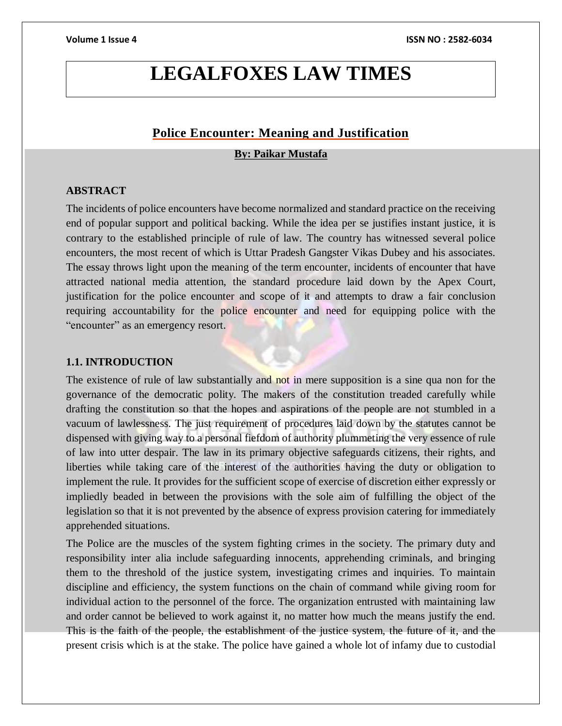# **LEGALFOXES LAW TIMES**

# **Police Encounter: Meaning and Justification**

### **By: Paikar Mustafa**

### **ABSTRACT**

The incidents of police encounters have become normalized and standard practice on the receiving end of popular support and political backing. While the idea per se justifies instant justice, it is contrary to the established principle of rule of law. The country has witnessed several police encounters, the most recent of which is Uttar Pradesh Gangster Vikas Dubey and his associates. The essay throws light upon the meaning of the term encounter, incidents of encounter that have attracted national media attention, the standard procedure laid down by the Apex Court, justification for the police encounter and scope of it and attempts to draw a fair conclusion requiring accountability for the police encounter and need for equipping police with the "encounter" as an emergency resort.

### **1.1. INTRODUCTION**

The existence of rule of law substantially and not in mere supposition is a sine qua non for the governance of the democratic polity. The makers of the constitution treaded carefully while drafting the constitution so that the hopes and aspirations of the people are not stumbled in a vacuum of lawlessness. The just requirement of procedures laid down by the statutes cannot be dispensed with giving way to a personal fiefdom of authority plummeting the very essence of rule of law into utter despair. The law in its primary objective safeguards citizens, their rights, and liberties while taking care of the interest of the authorities having the duty or obligation to implement the rule. It provides for the sufficient scope of exercise of discretion either expressly or impliedly beaded in between the provisions with the sole aim of fulfilling the object of the legislation so that it is not prevented by the absence of express provision catering for immediately apprehended situations.

The Police are the muscles of the system fighting crimes in the society. The primary duty and responsibility inter alia include safeguarding innocents, apprehending criminals, and bringing them to the threshold of the justice system, investigating crimes and inquiries. To maintain discipline and efficiency, the system functions on the chain of command while giving room for individual action to the personnel of the force. The organization entrusted with maintaining law and order cannot be believed to work against it, no matter how much the means justify the end. This is the faith of the people, the establishment of the justice system, the future of it, and the present crisis which is at the stake. The police have gained a whole lot of infamy due to custodial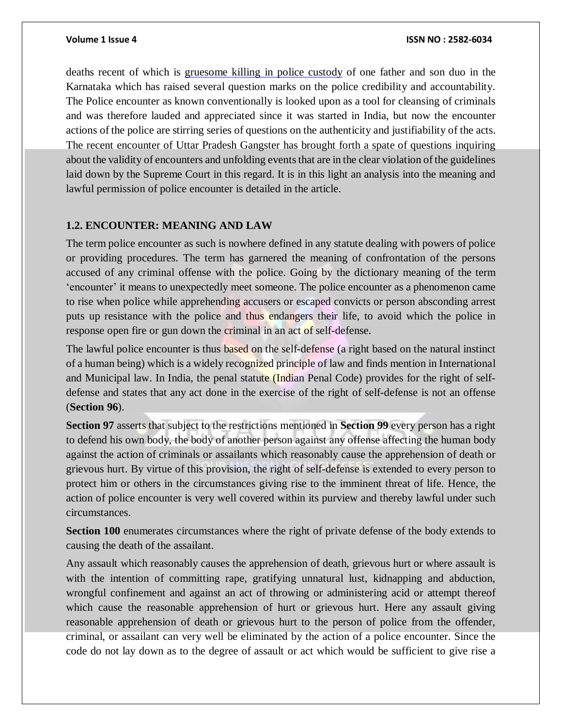deaths recent of which is gruesome killing in police custody of one father and son duo in the Karnataka which has raised several question marks on the police credibility and accountability. The Police encounter as known conventionally is looked upon as a tool for cleansing of criminals and was therefore lauded and appreciated since it was started in India, but now the encounter actions of the police are stirring series of questions on the authenticity and justifiability of the acts. The recent encounter of Uttar Pradesh Gangster has brought forth a spate of questions inquiring about the validity of encounters and unfolding events that are in the clear violation of the guidelines laid down by the Supreme Court in this regard. It is in this light an analysis into the meaning and lawful permission of police encounter is detailed in the article.

### **1.2. ENCOUNTER: MEANING AND LAW**

The term police encounter as such is nowhere defined in any statute dealing with powers of police or providing procedures. The term has garnered the meaning of confrontation of the persons accused of any criminal offense with the police. Going by the dictionary meaning of the term 'encounter' it means to unexpectedly meet someone. The police encounter as a phenomenon came to rise when police while apprehending accusers or escaped convicts or person absconding arrest puts up resistance with the police and thus endangers their life, to avoid which the police in response open fire or gun down the criminal in an act of self-defense.

The lawful police encounter is thus based on the self-defense (a right based on the natural instinct of a human being) which is a widely recognized principle of law and finds mention in International and Municipal law. In India, the penal statute (Indian Penal Code) provides for the right of selfdefense and states that any act done in the exercise of the right of self-defense is not an offense (**Section 96**).

**Section 97** asserts that subject to the restrictions mentioned in **Section 99** every person has a right to defend his own body, the body of another person against any offense affecting the human body against the action of criminals or assailants which reasonably cause the apprehension of death or grievous hurt. By virtue of this provision, the right of self-defense is extended to every person to protect him or others in the circumstances giving rise to the imminent threat of life. Hence, the action of police encounter is very well covered within its purview and thereby lawful under such circumstances.

**Section 100** enumerates circumstances where the right of private defense of the body extends to causing the death of the assailant.

Any assault which reasonably causes the apprehension of death, grievous hurt or where assault is with the intention of committing rape, gratifying unnatural lust, kidnapping and abduction, wrongful confinement and against an act of throwing or administering acid or attempt thereof which cause the reasonable apprehension of hurt or grievous hurt. Here any assault giving reasonable apprehension of death or grievous hurt to the person of police from the offender, criminal, or assailant can very well be eliminated by the action of a police encounter. Since the code do not lay down as to the degree of assault or act which would be sufficient to give rise a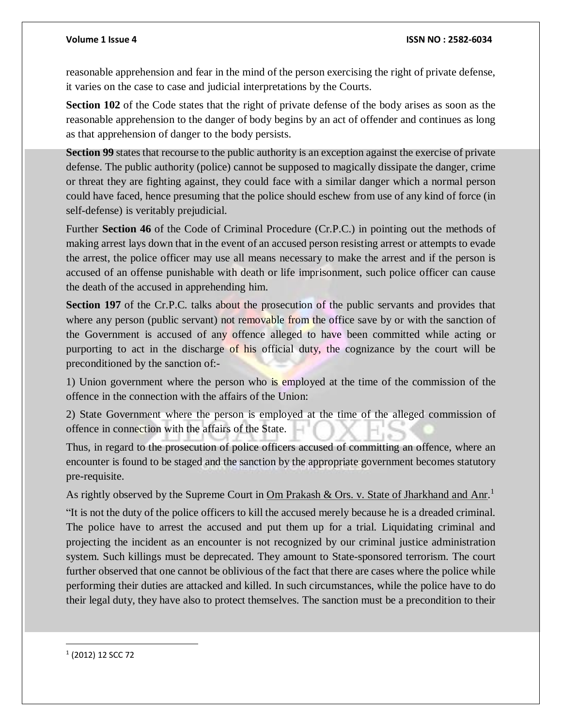reasonable apprehension and fear in the mind of the person exercising the right of private defense, it varies on the case to case and judicial interpretations by the Courts.

**Section 102** of the Code states that the right of private defense of the body arises as soon as the reasonable apprehension to the danger of body begins by an act of offender and continues as long as that apprehension of danger to the body persists.

**Section 99** states that recourse to the public authority is an exception against the exercise of private defense. The public authority (police) cannot be supposed to magically dissipate the danger, crime or threat they are fighting against, they could face with a similar danger which a normal person could have faced, hence presuming that the police should eschew from use of any kind of force (in self-defense) is veritably prejudicial.

Further **Section 46** of the Code of Criminal Procedure (Cr.P.C.) in pointing out the methods of making arrest lays down that in the event of an accused person resisting arrest or attempts to evade the arrest, the police officer may use all means necessary to make the arrest and if the person is accused of an offense punishable with death or life imprisonment, such police officer can cause the death of the accused in apprehending him.

**Section 197** of the Cr.P.C. talks about the prosecution of the public servants and provides that where any person (public servant) not removable from the office save by or with the sanction of the Government is accused of any offence alleged to have been committed while acting or purporting to act in the discharge of his official duty, the cognizance by the court will be preconditioned by the sanction of:-

1) Union government where the person who is employed at the time of the commission of the offence in the connection with the affairs of the Union:

2) State Government where the person is employed at the time of the alleged commission of offence in connection with the affairs of the State.

Thus, in regard to the prosecution of police officers accused of committing an offence, where an encounter is found to be staged and the sanction by the appropriate government becomes statutory pre-requisite.

As rightly observed by the Supreme Court in Om Prakash & Ors. v. State of Jharkhand and Anr.<sup>1</sup>

"It is not the duty of the police officers to kill the accused merely because he is a dreaded criminal. The police have to arrest the accused and put them up for a trial. Liquidating criminal and projecting the incident as an encounter is not recognized by our criminal justice administration system. Such killings must be deprecated. They amount to State-sponsored terrorism. The court further observed that one cannot be oblivious of the fact that there are cases where the police while performing their duties are attacked and killed. In such circumstances, while the police have to do their legal duty, they have also to protect themselves. The sanction must be a precondition to their

1 (2012) 12 SCC 72

 $\overline{a}$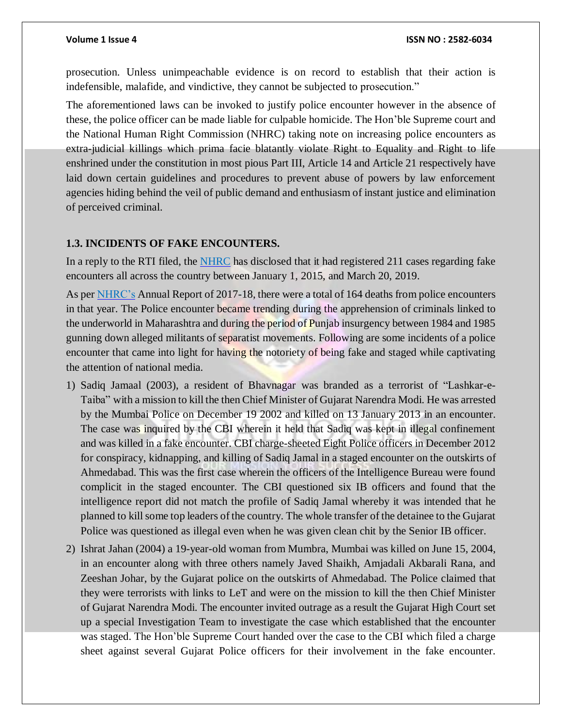prosecution. Unless unimpeachable evidence is on record to establish that their action is indefensible, malafide, and vindictive, they cannot be subjected to prosecution."

The aforementioned laws can be invoked to justify police encounter however in the absence of these, the police officer can be made liable for culpable homicide. The Hon'ble Supreme court and the National Human Right Commission (NHRC) taking note on increasing police encounters as extra-judicial killings which prima facie blatantly violate Right to Equality and Right to life enshrined under the constitution in most pious Part III, Article 14 and Article 21 respectively have laid down certain guidelines and procedures to prevent abuse of powers by law enforcement agencies hiding behind the veil of public demand and enthusiasm of instant justice and elimination of perceived criminal.

### **1.3. INCIDENTS OF FAKE ENCOUNTERS.**

In a reply to the RTI filed, the **[NHRC](https://www.google.co.in/amp/s/m.timesofindia.com/city/agra/Andhra-Pradesh-top-in-fake-encounter-cases-UP-second-Odisha-third/amp_articleshow/69794733.cms)** has disclosed that it had registered 211 cases regarding fake encounters all across the country between January 1, 2015, and March 20, 2019.

As per [NHRC's](https://nhrc.nic.in/sites/default/files/NHRC_AR_EN_2017-2018.pdf) Annual Report of 2017-18, there were a total of 164 deaths from police encounters in that year. The Police encounter became trending during the apprehension of criminals linked to the underworld in Maharashtra and during the period of Punjab insurgency between 1984 and 1985 gunning down alleged militants of separatist movements. Following are some incidents of a police encounter that came into light for having the notoriety of being fake and staged while captivating the attention of national media.

- 1) Sadiq Jamaal (2003), a resident of Bhavnagar was branded as a terrorist of "Lashkar-e-Taiba" with a mission to kill the then Chief Minister of Gujarat Narendra Modi. He was arrested by the Mumbai Police on December 19 2002 and killed on 13 January 2013 in an encounter. The case was inquired by the CBI wherein it held that Sadiq was kept in illegal confinement and was killed in a fake encounter. CBI charge-sheeted Eight Police officers in December 2012 for conspiracy, kidnapping, and killing of Sadiq Jamal in a staged encounter on the outskirts of Ahmedabad. This was the first case wherein the officers of the Intelligence Bureau were found complicit in the staged encounter. The CBI questioned six IB officers and found that the intelligence report did not match the profile of Sadiq Jamal whereby it was intended that he planned to kill some top leaders of the country. The whole transfer of the detainee to the Gujarat Police was questioned as illegal even when he was given clean chit by the Senior IB officer.
- 2) Ishrat Jahan (2004) a 19-year-old woman from Mumbra, Mumbai was killed on June 15, 2004, in an encounter along with three others namely Javed Shaikh, Amjadali Akbarali Rana, and Zeeshan Johar, by the Gujarat police on the outskirts of Ahmedabad. The Police claimed that they were terrorists with links to LeT and were on the mission to kill the then Chief Minister of Gujarat Narendra Modi. The encounter invited outrage as a result the Gujarat High Court set up a special Investigation Team to investigate the case which established that the encounter was staged. The Hon'ble Supreme Court handed over the case to the CBI which filed a charge sheet against several Gujarat Police officers for their involvement in the fake encounter.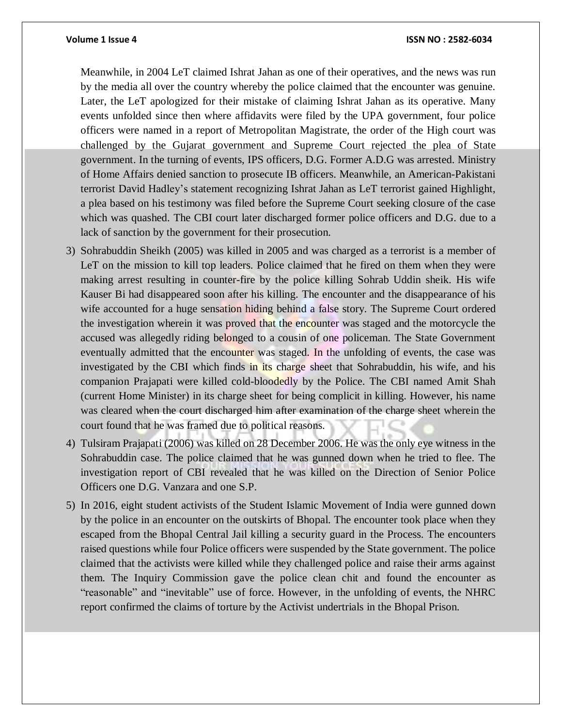### **Volume 1 Issue 4 ISSN NO : 2582-6034**

Meanwhile, in 2004 LeT claimed Ishrat Jahan as one of their operatives, and the news was run by the media all over the country whereby the police claimed that the encounter was genuine. Later, the LeT apologized for their mistake of claiming Ishrat Jahan as its operative. Many events unfolded since then where affidavits were filed by the UPA government, four police officers were named in a report of Metropolitan Magistrate, the order of the High court was challenged by the Gujarat government and Supreme Court rejected the plea of State government. In the turning of events, IPS officers, D.G. Former A.D.G was arrested. Ministry of Home Affairs denied sanction to prosecute IB officers. Meanwhile, an American-Pakistani terrorist David Hadley's statement recognizing Ishrat Jahan as LeT terrorist gained Highlight, a plea based on his testimony was filed before the Supreme Court seeking closure of the case which was quashed. The CBI court later discharged former police officers and D.G. due to a lack of sanction by the government for their prosecution.

- 3) Sohrabuddin Sheikh (2005) was killed in 2005 and was charged as a terrorist is a member of LeT on the mission to kill top leaders. Police claimed that he fired on them when they were making arrest resulting in counter-fire by the police killing Sohrab Uddin sheik. His wife Kauser Bi had disappeared soon after his killing. The encounter and the disappearance of his wife accounted for a huge sensation hiding behind a false story. The Supreme Court ordered the investigation wherein it was proved that the encounter was staged and the motorcycle the accused was allegedly riding belonged to a cousin of one policeman. The State Government eventually admitted that the encounter was staged. In the unfolding of events, the case was investigated by the CBI which finds in its charge sheet that Sohrabuddin, his wife, and his companion Prajapati were killed cold-bloodedly by the Police. The CBI named Amit Shah (current Home Minister) in its charge sheet for being complicit in killing. However, his name was cleared when the court discharged him after examination of the charge sheet wherein the court found that he was framed due to political reasons.
- 4) Tulsiram Prajapati (2006) was killed on 28 December 2006. He was the only eye witness in the Sohrabuddin case. The police claimed that he was gunned down when he tried to flee. The investigation report of CBI revealed that he was killed on the Direction of Senior Police Officers one D.G. Vanzara and one S.P.
- 5) In 2016, eight student activists of the Student Islamic Movement of India were gunned down by the police in an encounter on the outskirts of Bhopal. The encounter took place when they escaped from the Bhopal Central Jail killing a security guard in the Process. The encounters raised questions while four Police officers were suspended by the State government. The police claimed that the activists were killed while they challenged police and raise their arms against them. The Inquiry Commission gave the police clean chit and found the encounter as "reasonable" and "inevitable" use of force. However, in the unfolding of events, the NHRC report confirmed the claims of torture by the Activist undertrials in the Bhopal Prison.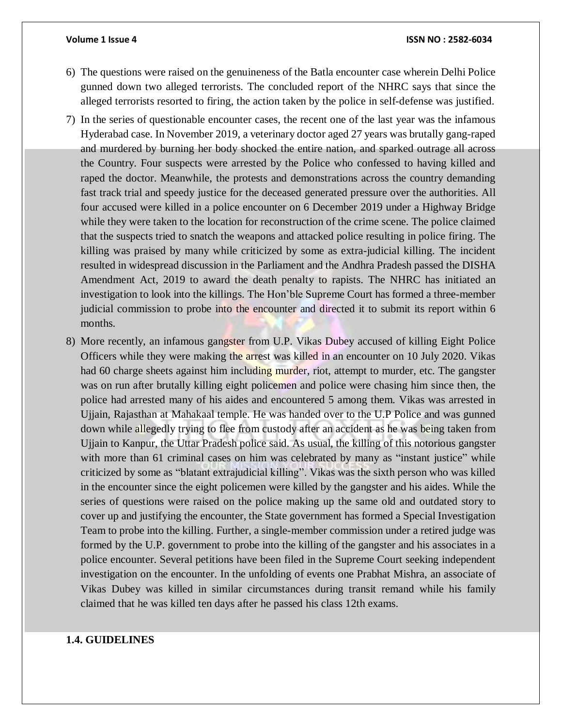### **Volume 1 Issue 4 ISSN NO : 2582-6034**

- 6) The questions were raised on the genuineness of the Batla encounter case wherein Delhi Police gunned down two alleged terrorists. The concluded report of the NHRC says that since the alleged terrorists resorted to firing, the action taken by the police in self-defense was justified.
- 7) In the series of questionable encounter cases, the recent one of the last year was the infamous Hyderabad case. In November 2019, a veterinary doctor aged 27 years was brutally gang-raped and murdered by burning her body shocked the entire nation, and sparked outrage all across the Country. Four suspects were arrested by the Police who confessed to having killed and raped the doctor. Meanwhile, the protests and demonstrations across the country demanding fast track trial and speedy justice for the deceased generated pressure over the authorities. All four accused were killed in a police encounter on 6 December 2019 under a Highway Bridge while they were taken to the location for reconstruction of the crime scene. The police claimed that the suspects tried to snatch the weapons and attacked police resulting in police firing. The killing was praised by many while criticized by some as extra-judicial killing. The incident resulted in widespread discussion in the Parliament and the Andhra Pradesh passed the DISHA Amendment Act, 2019 to award the death penalty to rapists. The NHRC has initiated an investigation to look into the killings. The Hon'ble Supreme Court has formed a three-member judicial commission to probe into the encounter and directed it to submit its report within 6 months.
- 8) More recently, an infamous gangster from U.P. Vikas Dubey accused of killing Eight Police Officers while they were making the arrest was killed in an encounter on 10 July 2020. Vikas had 60 charge sheets against him including murder, riot, attempt to murder, etc. The gangster was on run after brutally killing eight policemen and police were chasing him since then, the police had arrested many of his aides and encountered 5 among them. Vikas was arrested in Ujjain, Rajasthan at Mahakaal temple. He was handed over to the U.P Police and was gunned down while allegedly trying to flee from custody after an accident as he was being taken from Ujjain to Kanpur, the Uttar Pradesh police said. As usual, the killing of this notorious gangster with more than 61 criminal cases on him was celebrated by many as "instant justice" while criticized by some as "blatant extrajudicial killing". Vikas was the sixth person who was killed in the encounter since the eight policemen were killed by the gangster and his aides. While the series of questions were raised on the police making up the same old and outdated story to cover up and justifying the encounter, the State government has formed a Special Investigation Team to probe into the killing. Further, a single-member commission under a retired judge was formed by the U.P. government to probe into the killing of the gangster and his associates in a police encounter. Several petitions have been filed in the Supreme Court seeking independent investigation on the encounter. In the unfolding of events one Prabhat Mishra, an associate of Vikas Dubey was killed in similar circumstances during transit remand while his family claimed that he was killed ten days after he passed his class 12th exams.

# **1.4. GUIDELINES**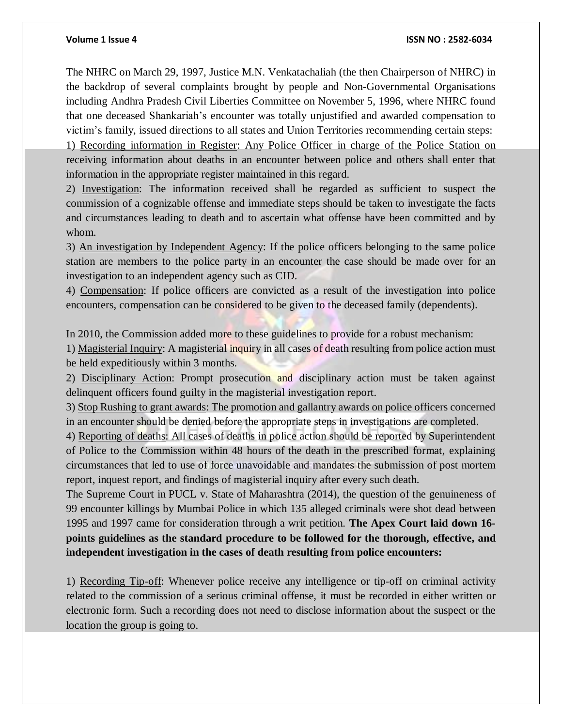The NHRC on March 29, 1997, Justice M.N. Venkatachaliah (the then Chairperson of NHRC) in the backdrop of several complaints brought by people and Non-Governmental Organisations including Andhra Pradesh Civil Liberties Committee on November 5, 1996, where NHRC found that one deceased Shankariah's encounter was totally unjustified and awarded compensation to victim's family, issued directions to all states and Union Territories recommending certain steps: 1) Recording information in Register: Any Police Officer in charge of the Police Station on receiving information about deaths in an encounter between police and others shall enter that information in the appropriate register maintained in this regard.

2) Investigation: The information received shall be regarded as sufficient to suspect the commission of a cognizable offense and immediate steps should be taken to investigate the facts and circumstances leading to death and to ascertain what offense have been committed and by whom.

3) An investigation by Independent Agency: If the police officers belonging to the same police station are members to the police party in an encounter the case should be made over for an investigation to an independent agency such as CID.

4) Compensation: If police officers are convicted as a result of the investigation into police encounters, compensation can be considered to be given to the deceased family (dependents).

In 2010, the Commission added more to these guidelines to provide for a robust mechanism:

1) Magisterial Inquiry: A magisterial inquiry in all cases of death resulting from police action must be held expeditiously within 3 months.

2) Disciplinary Action: Prompt prosecution and disciplinary action must be taken against delinquent officers found guilty in the magisterial investigation report.

3) Stop Rushing to grant awards: The promotion and gallantry awards on police officers concerned in an encounter should be denied before the appropriate steps in investigations are completed.

4) Reporting of deaths: All cases of deaths in police action should be reported by Superintendent of Police to the Commission within 48 hours of the death in the prescribed format, explaining circumstances that led to use of force unavoidable and mandates the submission of post mortem report, inquest report, and findings of magisterial inquiry after every such death.

The Supreme Court in PUCL v. State of Maharashtra (2014), the question of the genuineness of 99 encounter killings by Mumbai Police in which 135 alleged criminals were shot dead between 1995 and 1997 came for consideration through a writ petition. **The Apex Court laid down 16 points guidelines as the standard procedure to be followed for the thorough, effective, and independent investigation in the cases of death resulting from police encounters:**

1) Recording Tip-off: Whenever police receive any intelligence or tip-off on criminal activity related to the commission of a serious criminal offense, it must be recorded in either written or electronic form. Such a recording does not need to disclose information about the suspect or the location the group is going to.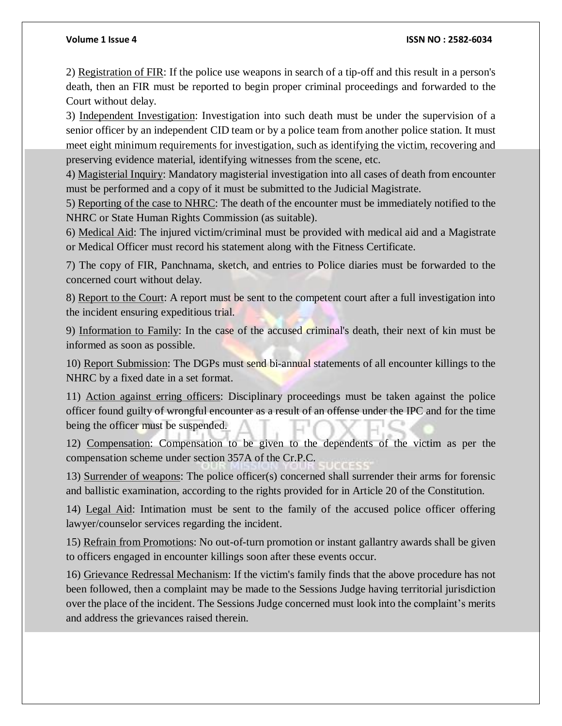### **Volume 1 Issue 4 ISSN NO : 2582-6034**

2) Registration of FIR: If the police use weapons in search of a tip-off and this result in a person's death, then an FIR must be reported to begin proper criminal proceedings and forwarded to the Court without delay.

3) Independent Investigation: Investigation into such death must be under the supervision of a senior officer by an independent CID team or by a police team from another police station. It must meet eight minimum requirements for investigation, such as identifying the victim, recovering and preserving evidence material, identifying witnesses from the scene, etc.

4) Magisterial Inquiry: Mandatory magisterial investigation into all cases of death from encounter must be performed and a copy of it must be submitted to the Judicial Magistrate.

5) Reporting of the case to NHRC: The death of the encounter must be immediately notified to the NHRC or State Human Rights Commission (as suitable).

6) Medical Aid: The injured victim/criminal must be provided with medical aid and a Magistrate or Medical Officer must record his statement along with the Fitness Certificate.

7) The copy of FIR, Panchnama, sketch, and entries to Police diaries must be forwarded to the concerned court without delay.

8) Report to the Court: A report must be sent to the competent court after a full investigation into the incident ensuring expeditious trial.

9) Information to Family: In the case of the accused criminal's death, their next of kin must be informed as soon as possible.

10) Report Submission: The DGPs must send bi-annual statements of all encounter killings to the NHRC by a fixed date in a set format.

11) Action against erring officers: Disciplinary proceedings must be taken against the police officer found guilty of wrongful encounter as a result of an offense under the IPC and for the time being the officer must be suspended.

12) Compensation: Compensation to be given to the dependents of the victim as per the compensation scheme under section 357A of the Cr.P.C.

13) Surrender of weapons: The police officer(s) concerned shall surrender their arms for forensic and ballistic examination, according to the rights provided for in Article 20 of the Constitution.

14) Legal Aid: Intimation must be sent to the family of the accused police officer offering lawyer/counselor services regarding the incident.

15) Refrain from Promotions: No out-of-turn promotion or instant gallantry awards shall be given to officers engaged in encounter killings soon after these events occur.

16) Grievance Redressal Mechanism: If the victim's family finds that the above procedure has not been followed, then a complaint may be made to the Sessions Judge having territorial jurisdiction over the place of the incident. The Sessions Judge concerned must look into the complaint's merits and address the grievances raised therein.